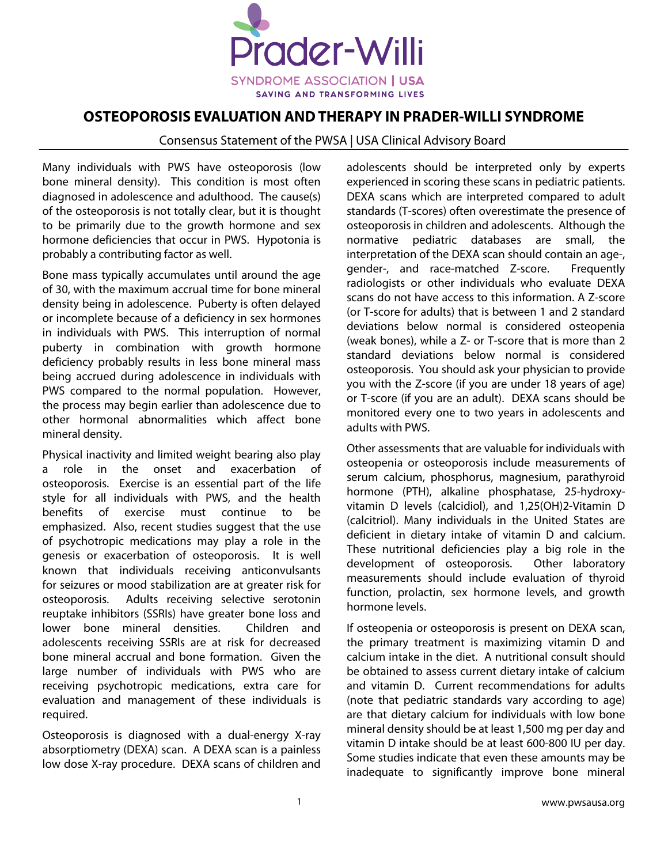

## **OSTEOPOROSIS EVALUATION AND THERAPY IN PRADER-WILLI SYNDROME**

## Consensus Statement of the PWSA | USA Clinical Advisory Board

Many individuals with PWS have osteoporosis (low bone mineral density). This condition is most often diagnosed in adolescence and adulthood. The cause(s) of the osteoporosis is not totally clear, but it is thought to be primarily due to the growth hormone and sex hormone deficiencies that occur in PWS. Hypotonia is probably a contributing factor as well.

Bone mass typically accumulates until around the age of 30, with the maximum accrual time for bone mineral density being in adolescence. Puberty is often delayed or incomplete because of a deficiency in sex hormones in individuals with PWS. This interruption of normal puberty in combination with growth hormone deficiency probably results in less bone mineral mass being accrued during adolescence in individuals with PWS compared to the normal population. However, the process may begin earlier than adolescence due to other hormonal abnormalities which affect bone mineral density.

Physical inactivity and limited weight bearing also play a role in the onset and exacerbation of osteoporosis. Exercise is an essential part of the life style for all individuals with PWS, and the health benefits of exercise must continue to be emphasized. Also, recent studies suggest that the use of psychotropic medications may play a role in the genesis or exacerbation of osteoporosis. It is well known that individuals receiving anticonvulsants for seizures or mood stabilization are at greater risk for osteoporosis. Adults receiving selective serotonin reuptake inhibitors (SSRIs) have greater bone loss and lower bone mineral densities. Children and adolescents receiving SSRIs are at risk for decreased bone mineral accrual and bone formation. Given the large number of individuals with PWS who are receiving psychotropic medications, extra care for evaluation and management of these individuals is required.

Osteoporosis is diagnosed with a dual-energy X-ray absorptiometry (DEXA) scan. A DEXA scan is a painless low dose X-ray procedure. DEXA scans of children and adolescents should be interpreted only by experts experienced in scoring these scans in pediatric patients. DEXA scans which are interpreted compared to adult standards (T-scores) often overestimate the presence of osteoporosis in children and adolescents. Although the normative pediatric databases are small, the interpretation of the DEXA scan should contain an age-, gender-, and race-matched Z-score. Frequently radiologists or other individuals who evaluate DEXA scans do not have access to this information. A Z-score (or T-score for adults) that is between 1 and 2 standard deviations below normal is considered osteopenia (weak bones), while a Z- or T-score that is more than 2 standard deviations below normal is considered osteoporosis. You should ask your physician to provide you with the Z-score (if you are under 18 years of age) or T-score (if you are an adult). DEXA scans should be monitored every one to two years in adolescents and adults with PWS.

Other assessments that are valuable for individuals with osteopenia or osteoporosis include measurements of serum calcium, phosphorus, magnesium, parathyroid hormone (PTH), alkaline phosphatase, 25-hydroxyvitamin D levels (calcidiol), and 1,25(OH)2-Vitamin D (calcitriol). Many individuals in the United States are deficient in dietary intake of vitamin D and calcium. These nutritional deficiencies play a big role in the development of osteoporosis. Other laboratory measurements should include evaluation of thyroid function, prolactin, sex hormone levels, and growth hormone levels.

If osteopenia or osteoporosis is present on DEXA scan, the primary treatment is maximizing vitamin D and calcium intake in the diet. A nutritional consult should be obtained to assess current dietary intake of calcium and vitamin D. Current recommendations for adults (note that pediatric standards vary according to age) are that dietary calcium for individuals with low bone mineral density should be at least 1,500 mg per day and vitamin D intake should be at least 600-800 IU per day. Some studies indicate that even these amounts may be inadequate to significantly improve bone mineral